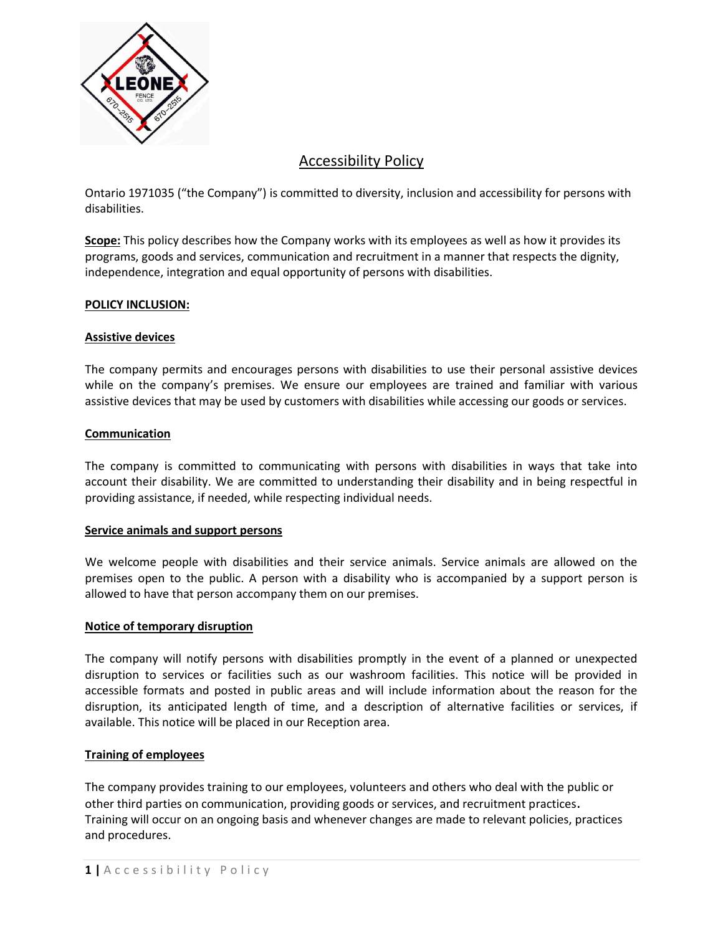

# Accessibility Policy

Ontario 1971035 ("the Company") is committed to diversity, inclusion and accessibility for persons with disabilities.

**Scope:** This policy describes how the Company works with its employees as well as how it provides its programs, goods and services, communication and recruitment in a manner that respects the dignity, independence, integration and equal opportunity of persons with disabilities.

## **POLICY INCLUSION:**

## **Assistive devices**

The company permits and encourages persons with disabilities to use their personal assistive devices while on the company's premises. We ensure our employees are trained and familiar with various assistive devices that may be used by customers with disabilities while accessing our goods or services.

### **Communication**

The company is committed to communicating with persons with disabilities in ways that take into account their disability. We are committed to understanding their disability and in being respectful in providing assistance, if needed, while respecting individual needs.

### **Service animals and support persons**

We welcome people with disabilities and their service animals. Service animals are allowed on the premises open to the public. A person with a disability who is accompanied by a support person is allowed to have that person accompany them on our premises.

### **Notice of temporary disruption**

The company will notify persons with disabilities promptly in the event of a planned or unexpected disruption to services or facilities such as our washroom facilities. This notice will be provided in accessible formats and posted in public areas and will include information about the reason for the disruption, its anticipated length of time, and a description of alternative facilities or services, if available. This notice will be placed in our Reception area.

### **Training of employees**

The company provides training to our employees, volunteers and others who deal with the public or other third parties on communication, providing goods or services, and recruitment practices. Training will occur on an ongoing basis and whenever changes are made to relevant policies, practices and procedures.